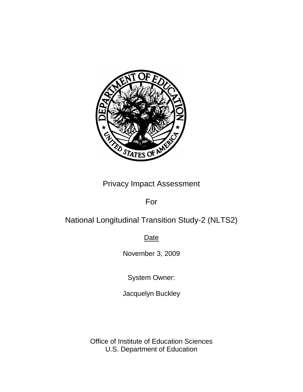

## Privacy Impact Assessment

### For

# National Longitudinal Transition Study-2 (NLTS2)

**Date** 

November 3, 2009

System Owner:

Jacquelyn Buckley

Office of Institute of Education Sciences U.S. Department of Education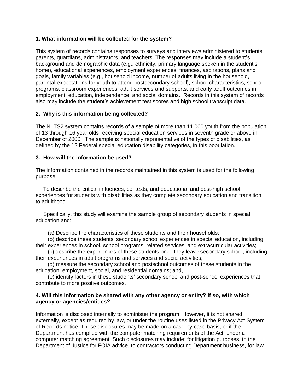#### **1. What information will be collected for the system?**

This system of records contains responses to surveys and interviews administered to students, parents, guardians, administrators, and teachers. The responses may include a student's background and demographic data (e.g., ethnicity, primary language spoken in the student's home), educational experiences, employment experiences, finances, aspirations, plans and goals, family variables (e.g., household income, number of adults living in the household, parental expectations for youth to attend postsecondary school), school characteristics, school programs, classroom experiences, adult services and supports, and early adult outcomes in employment, education, independence, and social domains. Records in this system of records also may include the student's achievement test scores and high school transcript data.

#### **2. Why is this information being collected?**

The NLTS2 system contains records of a sample of more than 11,000 youth from the population of 13 through 16 year olds receiving special education services in seventh grade or above in December of 2000. The sample is nationally representative of the types of disabilities, as defined by the 12 Federal special education disability categories, in this population.

#### **3. How will the information be used?**

The information contained in the records maintained in this system is used for the following purpose:

 To describe the critical influences, contexts, and educational and post-high school experiences for students with disabilities as they complete secondary education and transition to adulthood.

 Specifically, this study will examine the sample group of secondary students in special education and:

(a) Describe the characteristics of these students and their households;

 (b) describe these students' secondary school experiences in special education, including their experiences in school, school programs, related services, and extracurricular activities;

 (c) describe the experiences of these students once they leave secondary school, including their experiences in adult programs and services and social activities;

 (d) measure the secondary school and postschool outcomes of these students in the education, employment, social, and residential domains; and,

 (e) identify factors in these students' secondary school and post-school experiences that contribute to more positive outcomes.

#### **4. Will this information be shared with any other agency or entity? If so, with which agency or agencies/entities?**

Information is disclosed internally to administer the program. However, it is not shared externally, except as required by law, or under the routine uses listed in the Privacy Act System of Records notice. These disclosures may be made on a case-by-case basis, or if the Department has complied with the computer matching requirements of the Act, under a computer matching agreement. Such disclosures may include: for litigation purposes, to the Department of Justice for FOIA advice, to contractors conducting Department business, for law